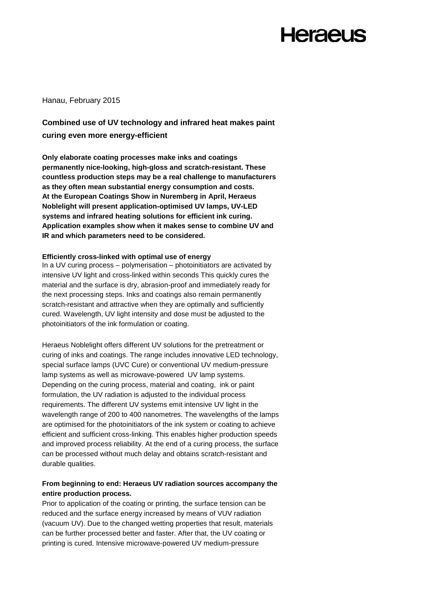#### Hanau, February 2015

### **Combined use of UV technology and infrared heat makes paint curing even more energy-efficient**

**Only elaborate coating processes make inks and coatings permanently nice-looking, high-gloss and scratch-resistant. These countless production steps may be a real challenge to manufacturers as they often mean substantial energy consumption and costs. At the European Coatings Show in Nuremberg in April, Heraeus Noblelight will present application-optimised UV lamps, UV-LED systems and infrared heating solutions for efficient ink curing. Application examples show when it makes sense to combine UV and IR and which parameters need to be considered.**

#### **Efficiently cross-linked with optimal use of energy**

In a UV curing process – polymerisation – photoinitiators are activated by intensive UV light and cross-linked within seconds This quickly cures the material and the surface is dry, abrasion-proof and immediately ready for the next processing steps. Inks and coatings also remain permanently scratch-resistant and attractive when they are optimally and sufficiently cured. Wavelength, UV light intensity and dose must be adjusted to the photoinitiators of the ink formulation or coating.

Heraeus Noblelight offers different UV solutions for the pretreatment or curing of inks and coatings. The range includes innovative LED technology, special surface lamps (UVC Cure) or conventional UV medium-pressure lamp systems as well as microwave-powered UV lamp systems. Depending on the curing process, material and coating, ink or paint formulation, the UV radiation is adjusted to the individual process requirements. The different UV systems emit intensive UV light in the wavelength range of 200 to 400 nanometres. The wavelengths of the lamps are optimised for the photoinitiators of the ink system or coating to achieve efficient and sufficient cross-linking. This enables higher production speeds and improved process reliability. At the end of a curing process, the surface can be processed without much delay and obtains scratch-resistant and durable qualities.

#### **From beginning to end: Heraeus UV radiation sources accompany the entire production process.**

Prior to application of the coating or printing, the surface tension can be reduced and the surface energy increased by means of VUV radiation (vacuum UV). Due to the changed wetting properties that result, materials can be further processed better and faster. After that, the UV coating or printing is cured. Intensive microwave-powered UV medium-pressure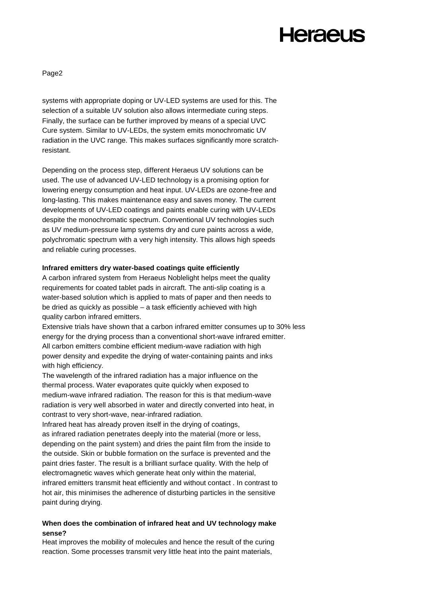Page2

systems with appropriate doping or UV-LED systems are used for this. The selection of a suitable UV solution also allows intermediate curing steps. Finally, the surface can be further improved by means of a special UVC Cure system. Similar to UV-LEDs, the system emits monochromatic UV radiation in the UVC range. This makes surfaces significantly more scratchresistant.

Depending on the process step, different Heraeus UV solutions can be used. The use of advanced UV-LED technology is a promising option for lowering energy consumption and heat input. UV-LEDs are ozone-free and long-lasting. This makes maintenance easy and saves money. The current developments of UV-LED coatings and paints enable curing with UV-LEDs despite the monochromatic spectrum. Conventional UV technologies such as UV medium-pressure lamp systems dry and cure paints across a wide, polychromatic spectrum with a very high intensity. This allows high speeds and reliable curing processes.

#### **Infrared emitters dry water-based coatings quite efficiently**

A carbon infrared system from Heraeus Noblelight helps meet the quality requirements for coated tablet pads in aircraft. The anti-slip coating is a water-based solution which is applied to mats of paper and then needs to be dried as quickly as possible – a task efficiently achieved with high quality carbon infrared emitters.

Extensive trials have shown that a carbon infrared emitter consumes up to 30% less energy for the drying process than a conventional short-wave infrared emitter. All carbon emitters combine efficient medium-wave radiation with high power density and expedite the drying of water-containing paints and inks with high efficiency.

The wavelength of the infrared radiation has a major influence on the thermal process. Water evaporates quite quickly when exposed to medium-wave infrared radiation. The reason for this is that medium-wave radiation is very well absorbed in water and directly converted into heat, in contrast to very short-wave, near-infrared radiation.

Infrared heat has already proven itself in the drying of coatings, as infrared radiation penetrates deeply into the material (more or less, depending on the paint system) and dries the paint film from the inside to the outside. Skin or bubble formation on the surface is prevented and the paint dries faster. The result is a brilliant surface quality. With the help of electromagnetic waves which generate heat only within the material, infrared emitters transmit heat efficiently and without contact . In contrast to hot air, this minimises the adherence of disturbing particles in the sensitive paint during drying.

#### **When does the combination of infrared heat and UV technology make sense?**

Heat improves the mobility of molecules and hence the result of the curing reaction. Some processes transmit very little heat into the paint materials,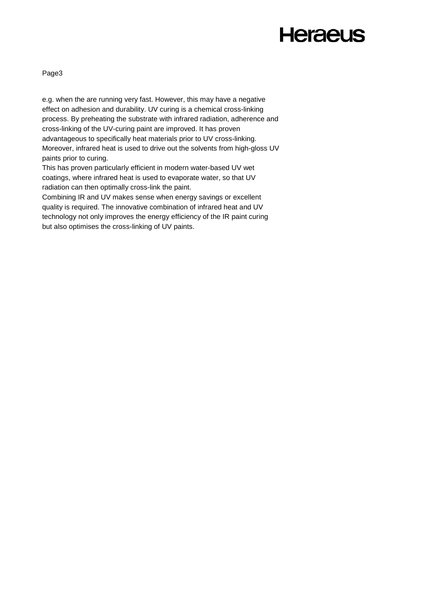Page3

e.g. when the are running very fast. However, this may have a negative effect on adhesion and durability. UV curing is a chemical cross-linking process. By preheating the substrate with infrared radiation, adherence and cross-linking of the UV-curing paint are improved. It has proven advantageous to specifically heat materials prior to UV cross-linking. Moreover, infrared heat is used to drive out the solvents from high-gloss UV paints prior to curing.

This has proven particularly efficient in modern water-based UV wet coatings, where infrared heat is used to evaporate water, so that UV radiation can then optimally cross-link the paint.

Combining IR and UV makes sense when energy savings or excellent quality is required. The innovative combination of infrared heat and UV technology not only improves the energy efficiency of the IR paint curing but also optimises the cross-linking of UV paints.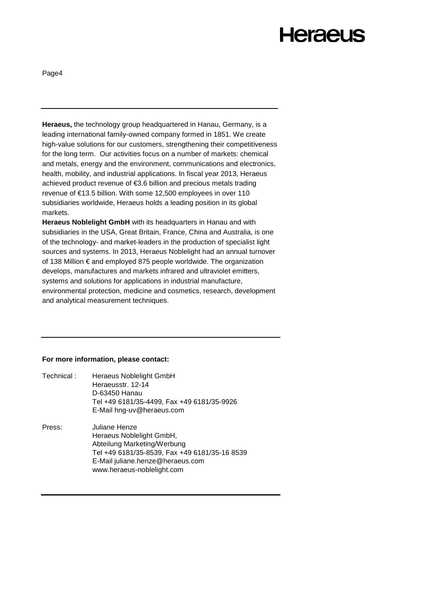Page4

**Heraeus,** the technology group headquartered in Hanau, Germany, is a leading international family-owned company formed in 1851. We create high-value solutions for our customers, strengthening their competitiveness for the long term. Our activities focus on a number of markets: chemical and metals, energy and the environment, communications and electronics, health, mobility, and industrial applications. In fiscal year 2013, Heraeus achieved product revenue of €3.6 billion and precious metals trading revenue of €13.5 billion. With some 12,500 employees in over 110 subsidiaries worldwide, Heraeus holds a leading position in its global markets.

**Heraeus Noblelight GmbH** with its headquarters in Hanau and with subsidiaries in the USA, Great Britain, France, China and Australia, is one of the technology- and market-leaders in the production of specialist light sources and systems. In 2013, Heraeus Noblelight had an annual turnover of 138 Million € and employed 875 people worldwide. The organization develops, manufactures and markets infrared and ultraviolet emitters, systems and solutions for applications in industrial manufacture, environmental protection, medicine and cosmetics, research, development and analytical measurement techniques.

#### **For more information, please contact:**

| Technical: | Heraeus Noblelight GmbH<br>Heraeusstr. 12-14<br>D-63450 Hanau<br>Tel +49 6181/35-4499, Fax +49 6181/35-9926<br>E-Mail hng-uv@heraeus.com                                                    |
|------------|---------------------------------------------------------------------------------------------------------------------------------------------------------------------------------------------|
| Press:     | Juliane Henze<br>Heraeus Noblelight GmbH,<br>Abteilung Marketing/Werbung<br>Tel +49 6181/35-8539, Fax +49 6181/35-16 8539<br>E-Mail juliane.henze@heraeus.com<br>www.heraeus-noblelight.com |